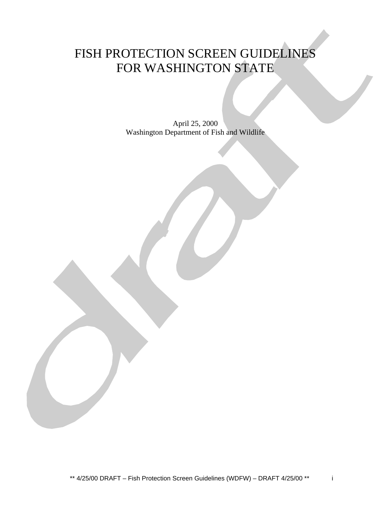# FISH PROTECTION SCREEN GUIDELINES FOR WASHINGTON STATE

April 25, 2000 Washington Department of Fish and Wildlife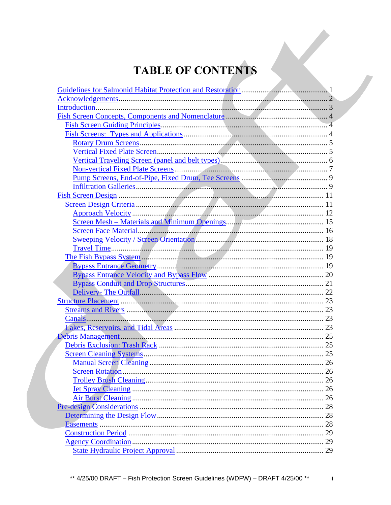# **TABLE OF CONTENTS**

 $\ddot{\mathbf{u}}$ 

| $\ldots 26$ |
|-------------|
|             |
|             |
|             |
|             |
|             |
|             |
|             |
|             |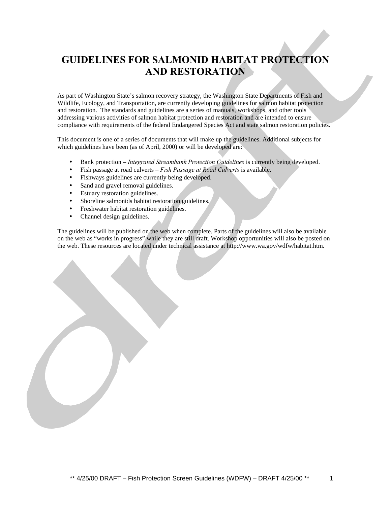## **GUIDELINES FOR SALMONID HABITAT PROTECTION AND RESTORATION**

As part of Washington State's salmon recovery strategy, the Washington State Departments of Fish and Wildlife, Ecology, and Transportation, are currently developing guidelines for salmon habitat protection and restoration. The standards and guidelines are a series of manuals, workshops, and other tools addressing various activities of salmon habitat protection and restoration and are intended to ensure compliance with requirements of the federal Endangered Species Act and state salmon restoration policies.

This document is one of a series of documents that will make up the guidelines. Additional subjects for which guidelines have been (as of April, 2000) or will be developed are:

- Bank protection *Integrated Streambank Protection Guidelines* is currently being developed.
- Fish passage at road culverts *Fish Passage at Road Culverts* is available.
- Fishways guidelines are currently being developed.
- Sand and gravel removal guidelines.
- Estuary restoration guidelines.
- Shoreline salmonids habitat restoration guidelines.
- Freshwater habitat restoration guidelines.
- Channel design guidelines.

The guidelines will be published on the web when complete. Parts of the guidelines will also be available on the web as "works in progress" while they are still draft. Workshop opportunities will also be posted on the web. These resources are located under technical assistance at http://www.wa.gov/wdfw/habitat.htm.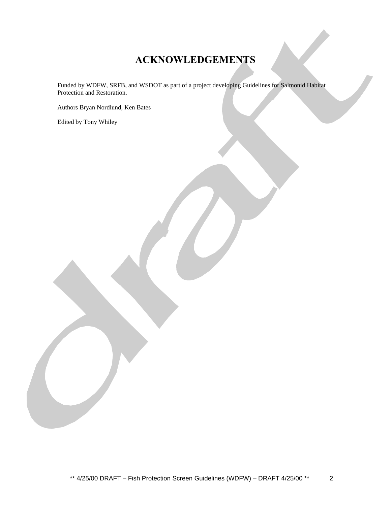## **ACKNOWLEDGEMENTS**

Funded by WDFW, SRFB, and WSDOT as part of a project developing Guidelines for Salmonid Habitat Protection and Restoration.

Authors Bryan Nordlund, Ken Bates

Edited by Tony Whiley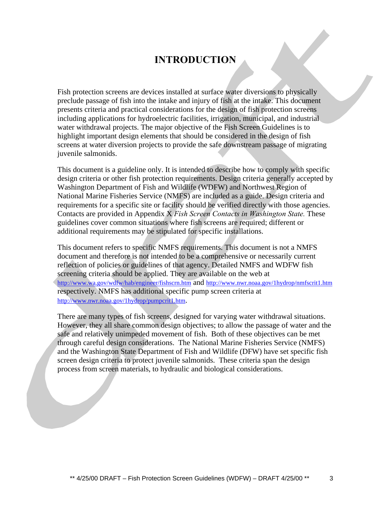### **INTRODUCTION**

Fish protection screens are devices installed at surface water diversions to physically preclude passage of fish into the intake and injury of fish at the intake. This document presents criteria and practical considerations for the design of fish protection screens including applications for hydroelectric facilities, irrigation, municipal, and industrial water withdrawal projects. The major objective of the Fish Screen Guidelines is to highlight important design elements that should be considered in the design of fish screens at water diversion projects to provide the safe downstream passage of migrating juvenile salmonids.

This document is a guideline only. It is intended to describe how to comply with specific design criteria or other fish protection requirements. Design criteria generally accepted by Washington Department of Fish and Wildlife (WDFW) and Northwest Region of National Marine Fisheries Service (NMFS) are included as a guide. Design criteria and requirements for a specific site or facility should be verified directly with those agencies. Contacts are provided in Appendix X *Fish Screen Contacts in Washington State.* These guidelines cover common situations where fish screens are required; different or additional requirements may be stipulated for specific installations.

This document refers to specific NMFS requirements. This document is not a NMFS document and therefore is not intended to be a comprehensive or necessarily current reflection of policies or guidelines of that agency. Detailed NMFS and WDFW fish screening criteria should be applied. They are available on the web at http://www.wa.gov/wdfw/hab/engineer/fishscrn.htm and http://www.nwr.noaa.gov/1hydrop/nmfscrit1.htm respectively. NMFS has additional specific pump screen criteria at http://www.nwr.noaa.gov/1hydrop/pumpcrit1.htm.

There are many types of fish screens, designed for varying water withdrawal situations. However, they all share common design objectives; to allow the passage of water and the safe and relatively unimpeded movement of fish. Both of these objectives can be met through careful design considerations. The National Marine Fisheries Service (NMFS) and the Washington State Department of Fish and Wildlife (DFW) have set specific fish screen design criteria to protect juvenile salmonids. These criteria span the design process from screen materials, to hydraulic and biological considerations.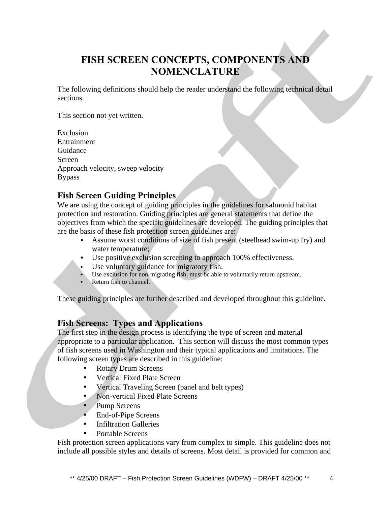## **FISH SCREEN CONCEPTS, COMPONENTS AND NOMENCLATURE**

The following definitions should help the reader understand the following technical detail sections.

This section not yet written.

Exclusion Entrainment Guidance Screen Approach velocity, sweep velocity Bypass

### **Fish Screen Guiding Principles**

We are using the concept of guiding principles in the guidelines for salmonid habitat protection and restoration. Guiding principles are general statements that define the objectives from which the specific guidelines are developed. The guiding principles that are the basis of these fish protection screen guidelines are:

- Assume worst conditions of size of fish present (steelhead swim-up fry) and water temperature;
- Use positive exclusion screening to approach 100% effectiveness.
- Use voluntary guidance for migratory fish.
- Use exclusion for non-migrating fish; must be able to voluntarily return upstream.
- Return fish to channel.

These guiding principles are further described and developed throughout this guideline.

### **Fish Screens: Types and Applications**

The first step in the design process is identifying the type of screen and material appropriate to a particular application. This section will discuss the most common types of fish screens used in Washington and their typical applications and limitations. The following screen types are described in this guideline:

- Rotary Drum Screens
- Vertical Fixed Plate Screen
- Vertical Traveling Screen (panel and belt types)
- Non-vertical Fixed Plate Screens
- Pump Screens
- End-of-Pipe Screens
- Infiltration Galleries
- Portable Screens

Fish protection screen applications vary from complex to simple. This guideline does not include all possible styles and details of screens. Most detail is provided for common and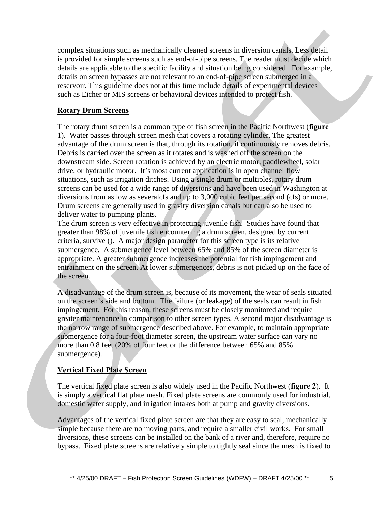complex situations such as mechanically cleaned screens in diversion canals. Less detail is provided for simple screens such as end-of-pipe screens. The reader must decide which details are applicable to the specific facility and situation being considered. For example, details on screen bypasses are not relevant to an end-of-pipe screen submerged in a reservoir. This guideline does not at this time include details of experimental devices such as Eicher or MIS screens or behavioral devices intended to protect fish.

### **Rotary Drum Screens**

The rotary drum screen is a common type of fish screen in the Pacific Northwest (**figure 1**). Water passes through screen mesh that covers a rotating cylinder. The greatest advantage of the drum screen is that, through its rotation, it continuously removes debris. Debris is carried over the screen as it rotates and is washed off the screen on the downstream side. Screen rotation is achieved by an electric motor, paddlewheel, solar drive, or hydraulic motor. It's most current application is in open channel flow situations, such as irrigation ditches. Using a single drum or multiples, rotary drum screens can be used for a wide range of diversions and have been used in Washington at diversions from as low as severalcfs and up to 3,000 cubic feet per second (cfs) or more. Drum screens are generally used in gravity diversion canals but can also be used to deliver water to pumping plants.

The drum screen is very effective in protecting juvenile fish. Studies have found that greater than 98% of juvenile fish encountering a drum screen, designed by current criteria, survive (). A major design parameter for this screen type is its relative submergence. A submergence level between 65% and 85% of the screen diameter is appropriate. A greater submergence increases the potential for fish impingement and entrainment on the screen. At lower submergences, debris is not picked up on the face of the screen.

A disadvantage of the drum screen is, because of its movement, the wear of seals situated on the screen's side and bottom. The failure (or leakage) of the seals can result in fish impingement. For this reason, these screens must be closely monitored and require greater maintenance in comparison to other screen types. A second major disadvantage is the narrow range of submergence described above. For example, to maintain appropriate submergence for a four-foot diameter screen, the upstream water surface can vary no more than 0.8 feet (20% of four feet or the difference between 65% and 85% submergence).

### **Vertical Fixed Plate Screen**

The vertical fixed plate screen is also widely used in the Pacific Northwest (**figure 2**). It is simply a vertical flat plate mesh. Fixed plate screens are commonly used for industrial, domestic water supply, and irrigation intakes both at pump and gravity diversions.

Advantages of the vertical fixed plate screen are that they are easy to seal, mechanically simple because there are no moving parts, and require a smaller civil works. For small diversions, these screens can be installed on the bank of a river and, therefore, require no bypass. Fixed plate screens are relatively simple to tightly seal since the mesh is fixed to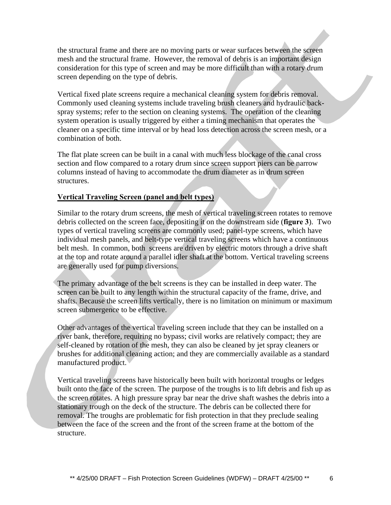the structural frame and there are no moving parts or wear surfaces between the screen mesh and the structural frame. However, the removal of debris is an important design consideration for this type of screen and may be more difficult than with a rotary drum screen depending on the type of debris.

Vertical fixed plate screens require a mechanical cleaning system for debris removal. Commonly used cleaning systems include traveling brush cleaners and hydraulic backspray systems; refer to the section on cleaning systems. The operation of the cleaning system operation is usually triggered by either a timing mechanism that operates the cleaner on a specific time interval or by head loss detection across the screen mesh, or a combination of both.

The flat plate screen can be built in a canal with much less blockage of the canal cross section and flow compared to a rotary drum since screen support piers can be narrow columns instead of having to accommodate the drum diameter as in drum screen structures.

### **Vertical Traveling Screen (panel and belt types)**

Similar to the rotary drum screens, the mesh of vertical traveling screen rotates to remove debris collected on the screen face, depositing it on the downstream side (**figure 3**). Two types of vertical traveling screens are commonly used; panel-type screens, which have individual mesh panels, and belt-type vertical traveling screens which have a continuous belt mesh. In common, both screens are driven by electric motors through a drive shaft at the top and rotate around a parallel idler shaft at the bottom. Vertical traveling screens are generally used for pump diversions.

The primary advantage of the belt screens is they can be installed in deep water. The screen can be built to any length within the structural capacity of the frame, drive, and shafts. Because the screen lifts vertically, there is no limitation on minimum or maximum screen submergence to be effective.

Other advantages of the vertical traveling screen include that they can be installed on a river bank, therefore, requiring no bypass; civil works are relatively compact; they are self-cleaned by rotation of the mesh, they can also be cleaned by jet spray cleaners or brushes for additional cleaning action; and they are commercially available as a standard manufactured product.

Vertical traveling screens have historically been built with horizontal troughs or ledges built onto the face of the screen. The purpose of the troughs is to lift debris and fish up as the screen rotates. A high pressure spray bar near the drive shaft washes the debris into a stationary trough on the deck of the structure. The debris can be collected there for removal. The troughs are problematic for fish protection in that they preclude sealing between the face of the screen and the front of the screen frame at the bottom of the structure.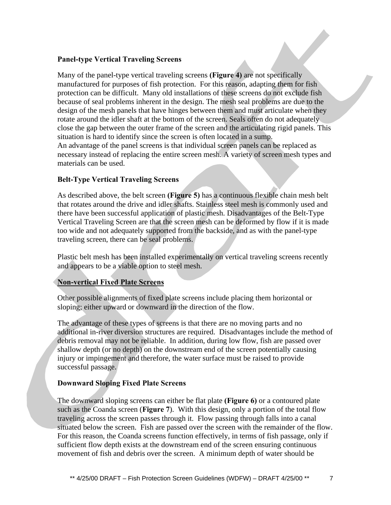### **Panel-type Vertical Traveling Screens**

Many of the panel-type vertical traveling screens **(Figure 4)** are not specifically manufactured for purposes of fish protection. For this reason, adapting them for fish protection can be difficult. Many old installations of these screens do not exclude fish because of seal problems inherent in the design. The mesh seal problems are due to the design of the mesh panels that have hinges between them and must articulate when they rotate around the idler shaft at the bottom of the screen. Seals often do not adequately close the gap between the outer frame of the screen and the articulating rigid panels. This situation is hard to identify since the screen is often located in a sump.

An advantage of the panel screens is that individual screen panels can be replaced as necessary instead of replacing the entire screen mesh. A variety of screen mesh types and materials can be used.

### **Belt-Type Vertical Traveling Screens**

As described above, the belt screen **(Figure 5)** has a continuous flexible chain mesh belt that rotates around the drive and idler shafts. Stainless steel mesh is commonly used and there have been successful application of plastic mesh. Disadvantages of the Belt-Type Vertical Traveling Screen are that the screen mesh can be deformed by flow if it is made too wide and not adequately supported from the backside, and as with the panel-type traveling screen, there can be seal problems.

Plastic belt mesh has been installed experimentally on vertical traveling screens recently and appears to be a viable option to steel mesh.

### **Non-vertical Fixed Plate Screens**

Other possible alignments of fixed plate screens include placing them horizontal or sloping; either upward or downward in the direction of the flow.

The advantage of these types of screens is that there are no moving parts and no additional in-river diversion structures are required. Disadvantages include the method of debris removal may not be reliable. In addition, during low flow, fish are passed over shallow depth (or no depth) on the downstream end of the screen potentially causing injury or impingement and therefore, the water surface must be raised to provide successful passage.

#### **Downward Sloping Fixed Plate Screens**

The downward sloping screens can either be flat plate **(Figure 6)** or a contoured plate such as the Coanda screen (**Figure 7**). With this design, only a portion of the total flow traveling across the screen passes through it. Flow passing through falls into a canal situated below the screen. Fish are passed over the screen with the remainder of the flow. For this reason, the Coanda screens function effectively, in terms of fish passage, only if sufficient flow depth exists at the downstream end of the screen ensuring continuous movement of fish and debris over the screen. A minimum depth of water should be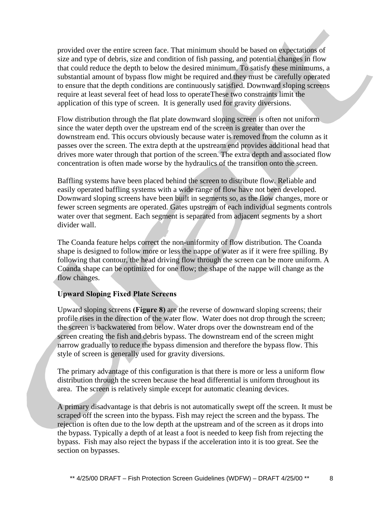provided over the entire screen face. That minimum should be based on expectations of size and type of debris, size and condition of fish passing, and potential changes in flow that could reduce the depth to below the desired minimum. To satisfy these minimums, a substantial amount of bypass flow might be required and they must be carefully operated to ensure that the depth conditions are continuously satisfied. Downward sloping screens require at least several feet of head loss to operateThese two constraints limit the application of this type of screen. It is generally used for gravity diversions.

Flow distribution through the flat plate downward sloping screen is often not uniform since the water depth over the upstream end of the screen is greater than over the downstream end. This occurs obviously because water is removed from the column as it passes over the screen. The extra depth at the upstream end provides additional head that drives more water through that portion of the screen. The extra depth and associated flow concentration is often made worse by the hydraulics of the transition onto the screen.

Baffling systems have been placed behind the screen to distribute flow. Reliable and easily operated baffling systems with a wide range of flow have not been developed. Downward sloping screens have been built in segments so, as the flow changes, more or fewer screen segments are operated. Gates upstream of each individual segments controls water over that segment. Each segment is separated from adjacent segments by a short divider wall.

The Coanda feature helps correct the non-uniformity of flow distribution. The Coanda shape is designed to follow more or less the nappe of water as if it were free spilling. By following that contour, the head driving flow through the screen can be more uniform. A Coanda shape can be optimized for one flow; the shape of the nappe will change as the flow changes.

### **Upward Sloping Fixed Plate Screens**

Upward sloping screens **(Figure 8)** are the reverse of downward sloping screens; their profile rises in the direction of the water flow. Water does not drop through the screen; the screen is backwatered from below. Water drops over the downstream end of the screen creating the fish and debris bypass. The downstream end of the screen might narrow gradually to reduce the bypass dimension and therefore the bypass flow. This style of screen is generally used for gravity diversions.

The primary advantage of this configuration is that there is more or less a uniform flow distribution through the screen because the head differential is uniform throughout its area. The screen is relatively simple except for automatic cleaning devices.

A primary disadvantage is that debris is not automatically swept off the screen. It must be scraped off the screen into the bypass. Fish may reject the screen and the bypass. The rejection is often due to the low depth at the upstream and of the screen as it drops into the bypass. Typically a depth of at least a foot is needed to keep fish from rejecting the bypass. Fish may also reject the bypass if the acceleration into it is too great. See the section on bypasses.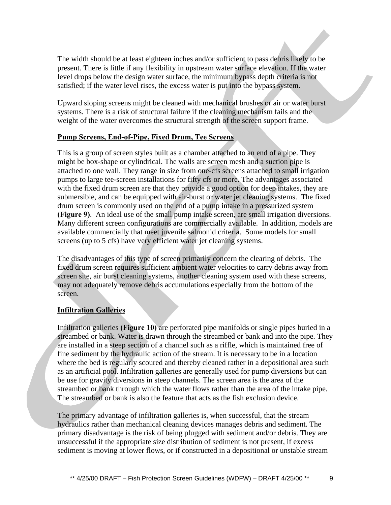The width should be at least eighteen inches and/or sufficient to pass debris likely to be present. There is little if any flexibility in upstream water surface elevation. If the water level drops below the design water surface, the minimum bypass depth criteria is not satisfied; if the water level rises, the excess water is put into the bypass system.

Upward sloping screens might be cleaned with mechanical brushes or air or water burst systems. There is a risk of structural failure if the cleaning mechanism fails and the weight of the water overcomes the structural strength of the screen support frame.

### **Pump Screens, End-of-Pipe, Fixed Drum, Tee Screens**

This is a group of screen styles built as a chamber attached to an end of a pipe. They might be box-shape or cylindrical. The walls are screen mesh and a suction pipe is attached to one wall. They range in size from one-cfs screens attached to small irrigation pumps to large tee-screen installations for fifty cfs or more. The advantages associated with the fixed drum screen are that they provide a good option for deep intakes, they are submersible, and can be equipped with air-burst or water jet cleaning systems. The fixed drum screen is commonly used on the end of a pump intake in a pressurized system **(Figure 9)**. An ideal use of the small pump intake screen, are small irrigation diversions. Many different screen configurations are commercially available. In addition, models are available commercially that meet juvenile salmonid criteria. Some models for small screens (up to 5 cfs) have very efficient water jet cleaning systems.

The disadvantages of this type of screen primarily concern the clearing of debris. The fixed drum screen requires sufficient ambient water velocities to carry debris away from screen site, air burst cleaning systems, another cleaning system used with these screens, may not adequately remove debris accumulations especially from the bottom of the screen.

#### **Infiltration Galleries**

Infiltration galleries **(Figure 10)** are perforated pipe manifolds or single pipes buried in a streambed or bank. Water is drawn through the streambed or bank and into the pipe. They are installed in a steep section of a channel such as a riffle, which is maintained free of fine sediment by the hydraulic action of the stream. It is necessary to be in a location where the bed is regularly scoured and thereby cleaned rather in a depositional area such as an artificial pool. Infiltration galleries are generally used for pump diversions but can be use for gravity diversions in steep channels. The screen area is the area of the streambed or bank through which the water flows rather than the area of the intake pipe. The streambed or bank is also the feature that acts as the fish exclusion device.

The primary advantage of infiltration galleries is, when successful, that the stream hydraulics rather than mechanical cleaning devices manages debris and sediment. The primary disadvantage is the risk of being plugged with sediment and/or debris. They are unsuccessful if the appropriate size distribution of sediment is not present, if excess sediment is moving at lower flows, or if constructed in a depositional or unstable stream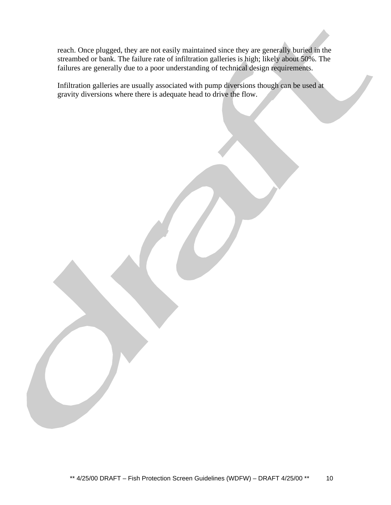reach. Once plugged, they are not easily maintained since they are generally buried in the streambed or bank. The failure rate of infiltration galleries is high; likely about 50%. The failures are generally due to a poor understanding of technical design requirements.

Infiltration galleries are usually associated with pump diversions though can be used at gravity diversions where there is adequate head to drive the flow.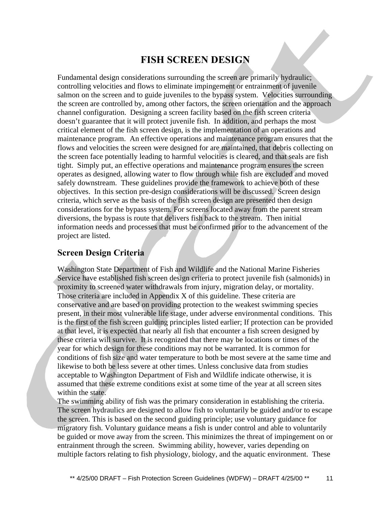### **FISH SCREEN DESIGN**

Fundamental design considerations surrounding the screen are primarily hydraulic; controlling velocities and flows to eliminate impingement or entrainment of juvenile salmon on the screen and to guide juveniles to the bypass system. Velocities surrounding the screen are controlled by, among other factors, the screen orientation and the approach channel configuration. Designing a screen facility based on the fish screen criteria doesn't guarantee that it will protect juvenile fish. In addition, and perhaps the most critical element of the fish screen design, is the implementation of an operations and maintenance program. An effective operations and maintenance program ensures that the flows and velocities the screen were designed for are maintained, that debris collecting on the screen face potentially leading to harmful velocities is cleared, and that seals are fish tight. Simply put, an effective operations and maintenance program ensures the screen operates as designed, allowing water to flow through while fish are excluded and moved safely downstream. These guidelines provide the framework to achieve both of these objectives. In this section pre-design considerations will be discussed. Screen design criteria, which serve as the basis of the fish screen design are presented then design considerations for the bypass system. For screens located away from the parent stream diversions, the bypass is route that delivers fish back to the stream. Then initial information needs and processes that must be confirmed prior to the advancement of the project are listed.

### **Screen Design Criteria**

Washington State Department of Fish and Wildlife and the National Marine Fisheries Service have established fish screen design criteria to protect juvenile fish (salmonids) in proximity to screened water withdrawals from injury, migration delay, or mortality. Those criteria are included in Appendix X of this guideline. These criteria are conservative and are based on providing protection to the weakest swimming species present, in their most vulnerable life stage, under adverse environmental conditions. This is the first of the fish screen guiding principles listed earlier; If protection can be provided at that level, it is expected that nearly all fish that encounter a fish screen designed by these criteria will survive. It is recognized that there may be locations or times of the year for which design for these conditions may not be warranted. It is common for conditions of fish size and water temperature to both be most severe at the same time and likewise to both be less severe at other times. Unless conclusive data from studies acceptable to Washington Department of Fish and Wildlife indicate otherwise, it is assumed that these extreme conditions exist at some time of the year at all screen sites within the state.

The swimming ability of fish was the primary consideration in establishing the criteria. The screen hydraulics are designed to allow fish to voluntarily be guided and/or to escape the screen. This is based on the second guiding principle; use voluntary guidance for migratory fish. Voluntary guidance means a fish is under control and able to voluntarily be guided or move away from the screen. This minimizes the threat of impingement on or entrainment through the screen. Swimming ability, however, varies depending on multiple factors relating to fish physiology, biology, and the aquatic environment. These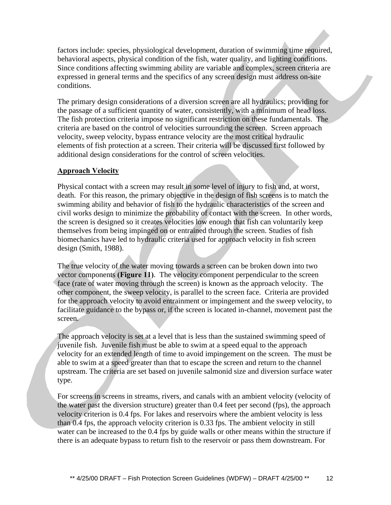factors include: species, physiological development, duration of swimming time required, behavioral aspects, physical condition of the fish, water quality, and lighting conditions. Since conditions affecting swimming ability are variable and complex, screen criteria are expressed in general terms and the specifics of any screen design must address on-site conditions.

The primary design considerations of a diversion screen are all hydraulics; providing for the passage of a sufficient quantity of water, consistently, with a minimum of head loss. The fish protection criteria impose no significant restriction on these fundamentals. The criteria are based on the control of velocities surrounding the screen. Screen approach velocity, sweep velocity, bypass entrance velocity are the most critical hydraulic elements of fish protection at a screen. Their criteria will be discussed first followed by additional design considerations for the control of screen velocities.

### **Approach Velocity**

Physical contact with a screen may result in some level of injury to fish and, at worst, death. For this reason, the primary objective in the design of fish screens is to match the swimming ability and behavior of fish to the hydraulic characteristics of the screen and civil works design to minimize the probability of contact with the screen. In other words, the screen is designed so it creates velocities low enough that fish can voluntarily keep themselves from being impinged on or entrained through the screen. Studies of fish biomechanics have led to hydraulic criteria used for approach velocity in fish screen design (Smith, 1988).

The true velocity of the water moving towards a screen can be broken down into two vector components **(Figure 11)**. The velocity component perpendicular to the screen face (rate of water moving through the screen) is known as the approach velocity. The other component, the sweep velocity, is parallel to the screen face. Criteria are provided for the approach velocity to avoid entrainment or impingement and the sweep velocity, to facilitate guidance to the bypass or, if the screen is located in-channel, movement past the screen.

The approach velocity is set at a level that is less than the sustained swimming speed of juvenile fish. Juvenile fish must be able to swim at a speed equal to the approach velocity for an extended length of time to avoid impingement on the screen. The must be able to swim at a speed greater than that to escape the screen and return to the channel upstream. The criteria are set based on juvenile salmonid size and diversion surface water type.

For screens in screens in streams, rivers, and canals with an ambient velocity (velocity of the water past the diversion structure) greater than 0.4 feet per second (fps), the approach velocity criterion is 0.4 fps. For lakes and reservoirs where the ambient velocity is less than 0.4 fps, the approach velocity criterion is 0.33 fps. The ambient velocity in still water can be increased to the 0.4 fps by guide walls or other means within the structure if there is an adequate bypass to return fish to the reservoir or pass them downstream. For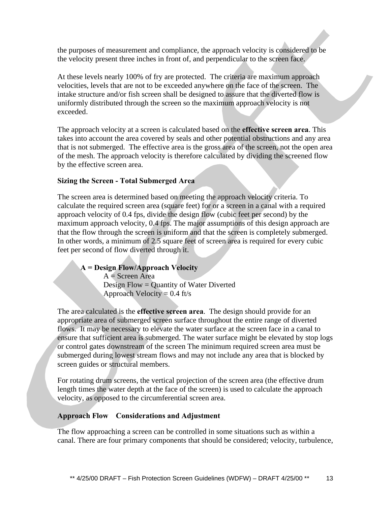the purposes of measurement and compliance, the approach velocity is considered to be the velocity present three inches in front of, and perpendicular to the screen face.

At these levels nearly 100% of fry are protected. The criteria are maximum approach velocities, levels that are not to be exceeded anywhere on the face of the screen. The intake structure and/or fish screen shall be designed to assure that the diverted flow is uniformly distributed through the screen so the maximum approach velocity is not exceeded.

The approach velocity at a screen is calculated based on the **effective screen area**. This takes into account the area covered by seals and other potential obstructions and any area that is not submerged. The effective area is the gross area of the screen, not the open area of the mesh. The approach velocity is therefore calculated by dividing the screened flow by the effective screen area.

### **Sizing the Screen - Total Submerged Area**

The screen area is determined based on meeting the approach velocity criteria. To calculate the required screen area (square feet) for or a screen in a canal with a required approach velocity of 0.4 fps, divide the design flow (cubic feet per second) by the maximum approach velocity, 0.4 fps. The major assumptions of this design approach are that the flow through the screen is uniform and that the screen is completely submerged. In other words, a minimum of 2.5 square feet of screen area is required for every cubic feet per second of flow diverted through it.

### **A = Design Flow/Approach Velocity**  $A =$  Screen Area Design Flow = Quantity of Water Diverted Approach Velocity =  $0.4$  ft/s

The area calculated is the **effective screen area**. The design should provide for an appropriate area of submerged screen surface throughout the entire range of diverted flows. It may be necessary to elevate the water surface at the screen face in a canal to ensure that sufficient area is submerged. The water surface might be elevated by stop logs or control gates downstream of the screen The minimum required screen area must be submerged during lowest stream flows and may not include any area that is blocked by screen guides or structural members.

For rotating drum screens, the vertical projection of the screen area (the effective drum length times the water depth at the face of the screen) is used to calculate the approach velocity, as opposed to the circumferential screen area.

### **Approach Flow – Considerations and Adjustment**

The flow approaching a screen can be controlled in some situations such as within a canal. There are four primary components that should be considered; velocity, turbulence,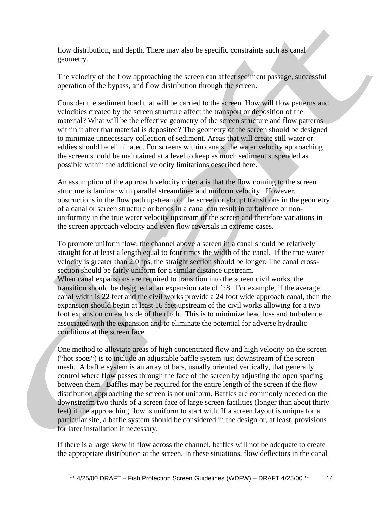flow distribution, and depth. There may also be specific constraints such as canal geometry.

The velocity of the flow approaching the screen can affect sediment passage, successful operation of the bypass, and flow distribution through the screen.

Consider the sediment load that will be carried to the screen. How will flow patterns and velocities created by the screen structure affect the transport or deposition of the material? What will be the effective geometry of the screen structure and flow patterns within it after that material is deposited? The geometry of the screen should be designed to minimize unnecessary collection of sediment. Areas that will create still water or eddies should be eliminated. For screens within canals, the water velocity approaching the screen should be maintained at a level to keep as much sediment suspended as possible within the additional velocity limitations described here.

An assumption of the approach velocity criteria is that the flow coming to the screen structure is laminar with parallel streamlines and uniform velocity. However, obstructions in the flow path upstream of the screen or abrupt transitions in the geometry of a canal or screen structure or bends in a canal can result in turbulence or nonuniformity in the true water velocity upstream of the screen and therefore variations in the screen approach velocity and even flow reversals in extreme cases.

To promote uniform flow, the channel above a screen in a canal should be relatively straight for at least a length equal to four times the width of the canal. If the true water velocity is greater than 2.0 fps, the straight section should be longer. The canal crosssection should be fairly uniform for a similar distance upstream. When canal expansions are required to transition into the screen civil works, the transition should be designed at an expansion rate of 1:8. For example, if the average canal width is 22 feet and the civil works provide a 24 foot wide approach canal, then the expansion should begin at least 16 feet upstream of the civil works allowing for a two foot expansion on each side of the ditch. This is to minimize head loss and turbulence associated with the expansion and to eliminate the potential for adverse hydraulic conditions at the screen face.

One method to alleviate areas of high concentrated flow and high velocity on the screen ("hot spots") is to include an adjustable baffle system just downstream of the screen mesh. A baffle system is an array of bars, usually oriented vertically, that generally control where flow passes through the face of the screen by adjusting the open spacing between them. Baffles may be required for the entire length of the screen if the flow distribution approaching the screen is not uniform. Baffles are commonly needed on the downstream two thirds of a screen face of large screen facilities (longer than about thirty feet) if the approaching flow is uniform to start with. If a screen layout is unique for a particular site, a baffle system should be considered in the design or, at least, provisions for later installation if necessary.

If there is a large skew in flow across the channel, baffles will not be adequate to create the appropriate distribution at the screen. In these situations, flow deflectors in the canal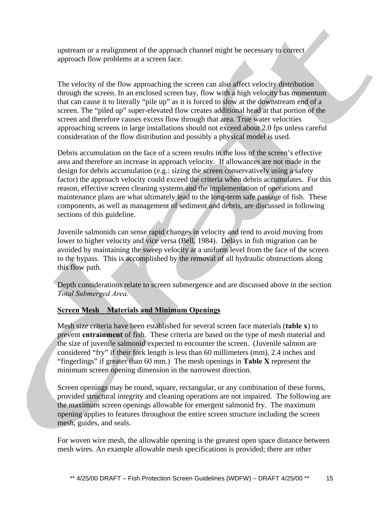upstream or a realignment of the approach channel might be necessary to correct approach flow problems at a screen face.

The velocity of the flow approaching the screen can also affect velocity distribution through the screen. In an enclosed screen bay, flow with a high velocity has momentum that can cause it to literally "pile up" as it is forced to slow at the downstream end of a screen. The "piled up" super-elevated flow creates additional head at that portion of the screen and therefore causes excess flow through that area. True water velocities approaching screens in large installations should not exceed about 2.0 fps unless careful consideration of the flow distribution and possibly a physical model is used.

Debris accumulation on the face of a screen results in the loss of the screen's effective area and therefore an increase in approach velocity. If allowances are not made in the design for debris accumulation (e.g.: sizing the screen conservatively using a safety factor) the approach velocity could exceed the criteria when debris accumulates. For this reason, effective screen cleaning systems and the implementation of operations and maintenance plans are what ultimately lead to the long-term safe passage of fish. These components, as well as management of sediment and debris, are discussed in following sections of this guideline.

Juvenile salmonids can sense rapid changes in velocity and tend to avoid moving from lower to higher velocity and vice versa (Bell, 1984). Delays in fish migration can be avoided by maintaining the sweep velocity at a uniform level from the face of the screen to the bypass. This is accomplished by the removal of all hydraulic obstructions along this flow path.

Depth considerations relate to screen submergence and are discussed above in the section *Total Submerged Area.*

### **Screen Mesh – Materials and Minimum Openings**

Mesh size criteria have been established for several screen face materials (**table x**) to prevent **entrainment** of fish. These criteria are based on the type of mesh material and the size of juvenile salmonid expected to encounter the screen. (Juvenile salmon are considered "fry" if their fork length is less than 60 millimeters (mm), 2.4 inches and "fingerlings" if greater than 60 mm.) The mesh openings in **Table X** represent the minimum screen opening dimension in the narrowest direction.

Screen openings may be round, square, rectangular, or any combination of these forms, provided structural integrity and cleaning operations are not impaired. The following are the maximum screen openings allowable for emergent salmonid fry. The maximum opening applies to features throughout the entire screen structure including the screen mesh, guides, and seals.

For woven wire mesh, the allowable opening is the greatest open space distance between mesh wires. An example allowable mesh specifications is provided; there are other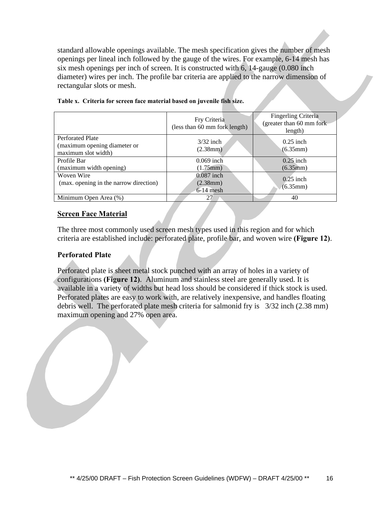standard allowable openings available. The mesh specification gives the number of mesh openings per lineal inch followed by the gauge of the wires. For example, 6-14 mesh has six mesh openings per inch of screen. It is constructed with 6, 14-gauge (0.080 inch diameter) wires per inch. The profile bar criteria are applied to the narrow dimension of rectangular slots or mesh.

|                                                                                | Fry Criteria<br>(less than 60 mm fork length) | Fingerling Criteria<br>(greater than 60 mm fork)<br>length) |
|--------------------------------------------------------------------------------|-----------------------------------------------|-------------------------------------------------------------|
| <b>Perforated Plate</b><br>(maximum opening diameter or<br>maximum slot width) | $3/32$ inch<br>(2.38mm)                       | $0.25$ inch<br>(6.35mm)                                     |
| Profile Bar<br>(maximum width opening)                                         | $0.069$ inch<br>(1.75mm)                      | $0.25$ inch<br>(6.35mm)                                     |
| Woven Wire<br>(max. opening in the narrow direction)                           | $0.087$ inch<br>$(2.38$ mm)<br>$6-14$ mesh    | $0.25$ inch<br>(6.35mm)                                     |
| Minimum Open Area (%)                                                          | 27                                            | 40                                                          |

|  | Table x. Criteria for screen face material based on juvenile fish size. |  |  |  |  |  |  |  |  |  |
|--|-------------------------------------------------------------------------|--|--|--|--|--|--|--|--|--|
|--|-------------------------------------------------------------------------|--|--|--|--|--|--|--|--|--|

### **Screen Face Material**

The three most commonly used screen mesh types used in this region and for which criteria are established include: perforated plate, profile bar, and woven wire **(Figure 12)**.

### **Perforated Plate**

Perforated plate is sheet metal stock punched with an array of holes in a variety of configurations **(Figure 12)**. Aluminum and stainless steel are generally used. It is available in a variety of widths but head loss should be considered if thick stock is used. Perforated plates are easy to work with, are relatively inexpensive, and handles floating debris well. The perforated plate mesh criteria for salmonid fry is 3/32 inch (2.38 mm) maximum opening and 27% open area.

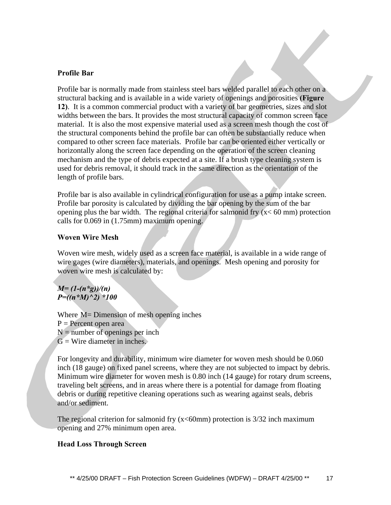#### **Profile Bar**

Profile bar is normally made from stainless steel bars welded parallel to each other on a structural backing and is available in a wide variety of openings and porosities **(Figure 12)**. It is a common commercial product with a variety of bar geometries, sizes and slot widths between the bars. It provides the most structural capacity of common screen face material. It is also the most expensive material used as a screen mesh though the cost of the structural components behind the profile bar can often be substantially reduce when compared to other screen face materials. Profile bar can be oriented either vertically or horizontally along the screen face depending on the operation of the screen cleaning mechanism and the type of debris expected at a site. If a brush type cleaning system is used for debris removal, it should track in the same direction as the orientation of the length of profile bars.

Profile bar is also available in cylindrical configuration for use as a pump intake screen. Profile bar porosity is calculated by dividing the bar opening by the sum of the bar opening plus the bar width. The regional criteria for salmonid fry  $(x < 60$  mm) protection calls for 0.069 in (1.75mm) maximum opening.

#### **Woven Wire Mesh**

Woven wire mesh, widely used as a screen face material, is available in a wide range of wire gages (wire diameters), materials, and openings. Mesh opening and porosity for woven wire mesh is calculated by:

*M= (1-(n\*g))/(n) P=((n\*M)^2) \*100*

Where M = Dimension of mesh opening inches  $P =$  Percent open area  $N =$  number of openings per inch  $G =$  Wire diameter in inches.

For longevity and durability, minimum wire diameter for woven mesh should be 0.060 inch (18 gauge) on fixed panel screens, where they are not subjected to impact by debris. Minimum wire diameter for woven mesh is 0.80 inch (14 gauge) for rotary drum screens, traveling belt screens, and in areas where there is a potential for damage from floating debris or during repetitive cleaning operations such as wearing against seals, debris and/or sediment.

The regional criterion for salmonid fry  $(x < 60$ mm) protection is  $3/32$  inch maximum opening and 27% minimum open area.

#### **Head Loss Through Screen**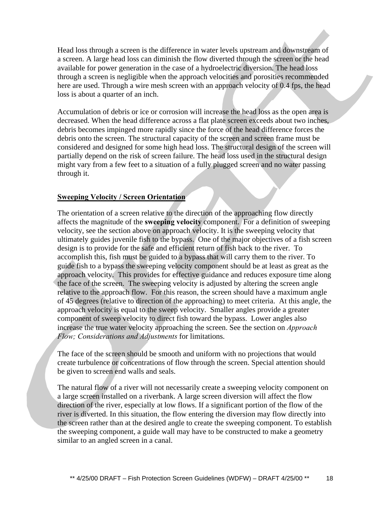Head loss through a screen is the difference in water levels upstream and downstream of a screen. A large head loss can diminish the flow diverted through the screen or the head available for power generation in the case of a hydroelectric diversion. The head loss through a screen is negligible when the approach velocities and porosities recommended here are used. Through a wire mesh screen with an approach velocity of 0.4 fps, the head loss is about a quarter of an inch.

Accumulation of debris or ice or corrosion will increase the head loss as the open area is decreased. When the head difference across a flat plate screen exceeds about two inches, debris becomes impinged more rapidly since the force of the head difference forces the debris onto the screen. The structural capacity of the screen and screen frame must be considered and designed for some high head loss. The structural design of the screen will partially depend on the risk of screen failure. The head loss used in the structural design might vary from a few feet to a situation of a fully plugged screen and no water passing through it.

### **Sweeping Velocity / Screen Orientation**

The orientation of a screen relative to the direction of the approaching flow directly affects the magnitude of the **sweeping velocity** component. For a definition of sweeping velocity, see the section above on approach velocity. It is the sweeping velocity that ultimately guides juvenile fish to the bypass. One of the major objectives of a fish screen design is to provide for the safe and efficient return of fish back to the river. To accomplish this, fish must be guided to a bypass that will carry them to the river. To guide fish to a bypass the sweeping velocity component should be at least as great as the approach velocity. This provides for effective guidance and reduces exposure time along the face of the screen. The sweeping velocity is adjusted by altering the screen angle relative to the approach flow. For this reason, the screen should have a maximum angle of 45 degrees (relative to direction of the approaching) to meet criteria. At this angle, the approach velocity is equal to the sweep velocity. Smaller angles provide a greater component of sweep velocity to direct fish toward the bypass. Lower angles also increase the true water velocity approaching the screen. See the section on *Approach Flow; Considerations and Adjustments* for limitations.

The face of the screen should be smooth and uniform with no projections that would create turbulence or concentrations of flow through the screen. Special attention should be given to screen end walls and seals.

The natural flow of a river will not necessarily create a sweeping velocity component on a large screen installed on a riverbank. A large screen diversion will affect the flow direction of the river, especially at low flows. If a significant portion of the flow of the river is diverted. In this situation, the flow entering the diversion may flow directly into the screen rather than at the desired angle to create the sweeping component. To establish the sweeping component, a guide wall may have to be constructed to make a geometry similar to an angled screen in a canal.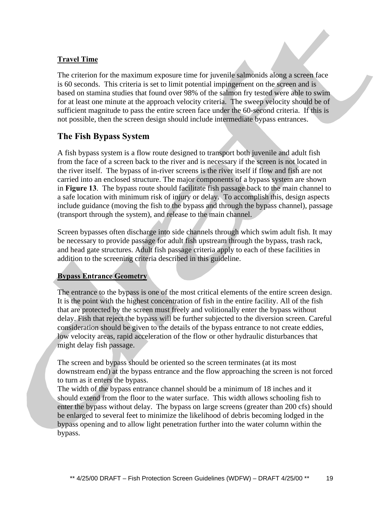### **Travel Time**

The criterion for the maximum exposure time for juvenile salmonids along a screen face is 60 seconds. This criteria is set to limit potential impingement on the screen and is based on stamina studies that found over 98% of the salmon fry tested were able to swim for at least one minute at the approach velocity criteria. The sweep velocity should be of sufficient magnitude to pass the entire screen face under the 60-second criteria. If this is not possible, then the screen design should include intermediate bypass entrances.

### **The Fish Bypass System**

A fish bypass system is a flow route designed to transport both juvenile and adult fish from the face of a screen back to the river and is necessary if the screen is not located in the river itself. The bypass of in-river screens is the river itself if flow and fish are not carried into an enclosed structure. The major components of a bypass system are shown in **Figure 13**. The bypass route should facilitate fish passage back to the main channel to a safe location with minimum risk of injury or delay. To accomplish this, design aspects include guidance (moving the fish to the bypass and through the bypass channel), passage (transport through the system), and release to the main channel.

Screen bypasses often discharge into side channels through which swim adult fish. It may be necessary to provide passage for adult fish upstream through the bypass, trash rack, and head gate structures. Adult fish passage criteria apply to each of these facilities in addition to the screening criteria described in this guideline.

### **Bypass Entrance Geometry**

The entrance to the bypass is one of the most critical elements of the entire screen design. It is the point with the highest concentration of fish in the entire facility. All of the fish that are protected by the screen must freely and volitionally enter the bypass without delay. Fish that reject the bypass will be further subjected to the diversion screen. Careful consideration should be given to the details of the bypass entrance to not create eddies, low velocity areas, rapid acceleration of the flow or other hydraulic disturbances that might delay fish passage.

The screen and bypass should be oriented so the screen terminates (at its most downstream end) at the bypass entrance and the flow approaching the screen is not forced to turn as it enters the bypass.

The width of the bypass entrance channel should be a minimum of 18 inches and it should extend from the floor to the water surface. This width allows schooling fish to enter the bypass without delay. The bypass on large screens (greater than 200 cfs) should be enlarged to several feet to minimize the likelihood of debris becoming lodged in the bypass opening and to allow light penetration further into the water column within the bypass.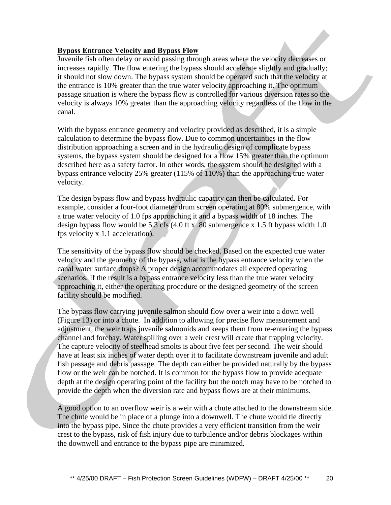### **Bypass Entrance Velocity and Bypass Flow**

Juvenile fish often delay or avoid passing through areas where the velocity decreases or increases rapidly. The flow entering the bypass should accelerate slightly and gradually; it should not slow down. The bypass system should be operated such that the velocity at the entrance is 10% greater than the true water velocity approaching it. The optimum passage situation is where the bypass flow is controlled for various diversion rates so the velocity is always 10% greater than the approaching velocity regardless of the flow in the canal.

With the bypass entrance geometry and velocity provided as described, it is a simple calculation to determine the bypass flow. Due to common uncertainties in the flow distribution approaching a screen and in the hydraulic design of complicate bypass systems, the bypass system should be designed for a flow 15% greater than the optimum described here as a safety factor. In other words, the system should be designed with a bypass entrance velocity 25% greater (115% of 110%) than the approaching true water velocity.

The design bypass flow and bypass hydraulic capacity can then be calculated. For example, consider a four-foot diameter drum screen operating at 80% submergence, with a true water velocity of 1.0 fps approaching it and a bypass width of 18 inches. The design bypass flow would be 5.3 cfs  $(4.0 \text{ ft x} \cdot 80 \text{ submerge})$  x 1.5 ft bypass width 1.0 fps velocity x 1.1 acceleration).

The sensitivity of the bypass flow should be checked. Based on the expected true water velocity and the geometry of the bypass, what is the bypass entrance velocity when the canal water surface drops? A proper design accommodates all expected operating scenarios. If the result is a bypass entrance velocity less than the true water velocity approaching it, either the operating procedure or the designed geometry of the screen facility should be modified.

The bypass flow carrying juvenile salmon should flow over a weir into a down well (Figure 13) or into a chute. In addition to allowing for precise flow measurement and adjustment, the weir traps juvenile salmonids and keeps them from re-entering the bypass channel and forebay. Water spilling over a weir crest will create that trapping velocity. The capture velocity of steelhead smolts is about five feet per second. The weir should have at least six inches of water depth over it to facilitate downstream juvenile and adult fish passage and debris passage. The depth can either be provided naturally by the bypass flow or the weir can be notched. It is common for the bypass flow to provide adequate depth at the design operating point of the facility but the notch may have to be notched to provide the depth when the diversion rate and bypass flows are at their minimums.

A good option to an overflow weir is a weir with a chute attached to the downstream side. The chute would be in place of a plunge into a downwell. The chute would tie directly into the bypass pipe. Since the chute provides a very efficient transition from the weir crest to the bypass, risk of fish injury due to turbulence and/or debris blockages within the downwell and entrance to the bypass pipe are minimized.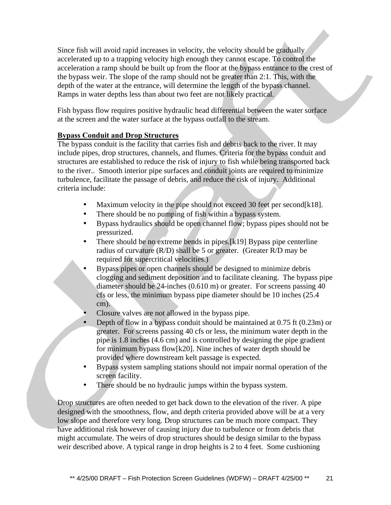Since fish will avoid rapid increases in velocity, the velocity should be gradually accelerated up to a trapping velocity high enough they cannot escape. To control the acceleration a ramp should be built up from the floor at the bypass entrance to the crest of the bypass weir. The slope of the ramp should not be greater than 2:1. This, with the depth of the water at the entrance, will determine the length of the bypass channel. Ramps in water depths less than about two feet are not likely practical.

Fish bypass flow requires positive hydraulic head differential between the water surface at the screen and the water surface at the bypass outfall to the stream.

### **Bypass Conduit and Drop Structures**

The bypass conduit is the facility that carries fish and debris back to the river. It may include pipes, drop structures, channels, and flumes. Criteria for the bypass conduit and structures are established to reduce the risk of injury to fish while being transported back to the river.. Smooth interior pipe surfaces and conduit joints are required to minimize turbulence, facilitate the passage of debris, and reduce the risk of injury. Additional criteria include:

- Maximum velocity in the pipe should not exceed 30 feet per second[k18].
- There should be no pumping of fish within a bypass system.
- Bypass hydraulics should be open channel flow; bypass pipes should not be pressurized.
- There should be no extreme bends in pipes.[k19] Bypass pipe centerline radius of curvature (R/D) shall be 5 or greater. (Greater R/D may be required for supercritical velocities.)
- Bypass pipes or open channels should be designed to minimize debris clogging and sediment deposition and to facilitate cleaning. The bypass pipe diameter should be 24-inches (0.610 m) or greater. For screens passing 40 cfs or less, the minimum bypass pipe diameter should be 10 inches (25.4 cm).
- Closure valves are not allowed in the bypass pipe.
- Depth of flow in a bypass conduit should be maintained at 0.75 ft (0.23m) or greater. For screens passing 40 cfs or less, the minimum water depth in the pipe is 1.8 inches (4.6 cm) and is controlled by designing the pipe gradient for minimum bypass flow[k20]. Nine inches of water depth should be provided where downstream kelt passage is expected.
- Bypass system sampling stations should not impair normal operation of the screen facility.
- There should be no hydraulic jumps within the bypass system.

Drop structures are often needed to get back down to the elevation of the river. A pipe designed with the smoothness, flow, and depth criteria provided above will be at a very low slope and therefore very long. Drop structures can be much more compact. They have additional risk however of causing injury due to turbulence or from debris that might accumulate. The weirs of drop structures should be design similar to the bypass weir described above. A typical range in drop heights is 2 to 4 feet. Some cushioning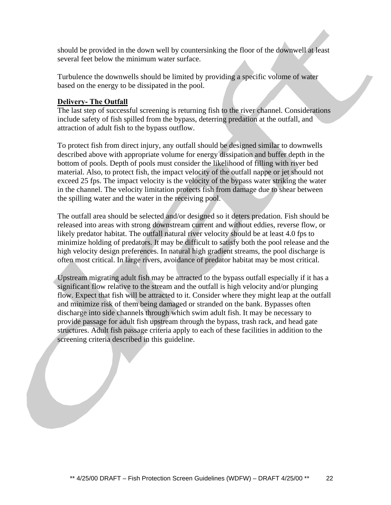should be provided in the down well by countersinking the floor of the downwell at least several feet below the minimum water surface.

Turbulence the downwells should be limited by providing a specific volume of water based on the energy to be dissipated in the pool.

### **Delivery- The Outfall**

The last step of successful screening is returning fish to the river channel. Considerations include safety of fish spilled from the bypass, deterring predation at the outfall, and attraction of adult fish to the bypass outflow.

To protect fish from direct injury, any outfall should be designed similar to downwells described above with appropriate volume for energy dissipation and buffer depth in the bottom of pools. Depth of pools must consider the likelihood of filling with river bed material. Also, to protect fish, the impact velocity of the outfall nappe or jet should not exceed 25 fps. The impact velocity is the velocity of the bypass water striking the water in the channel. The velocity limitation protects fish from damage due to shear between the spilling water and the water in the receiving pool.

The outfall area should be selected and/or designed so it deters predation. Fish should be released into areas with strong downstream current and without eddies, reverse flow, or likely predator habitat. The outfall natural river velocity should be at least 4.0 fps to minimize holding of predators. It may be difficult to satisfy both the pool release and the high velocity design preferences. In natural high gradient streams, the pool discharge is often most critical. In large rivers, avoidance of predator habitat may be most critical.

Upstream migrating adult fish may be attracted to the bypass outfall especially if it has a significant flow relative to the stream and the outfall is high velocity and/or plunging flow. Expect that fish will be attracted to it. Consider where they might leap at the outfall and minimize risk of them being damaged or stranded on the bank. Bypasses often discharge into side channels through which swim adult fish. It may be necessary to provide passage for adult fish upstream through the bypass, trash rack, and head gate structures. Adult fish passage criteria apply to each of these facilities in addition to the screening criteria described in this guideline.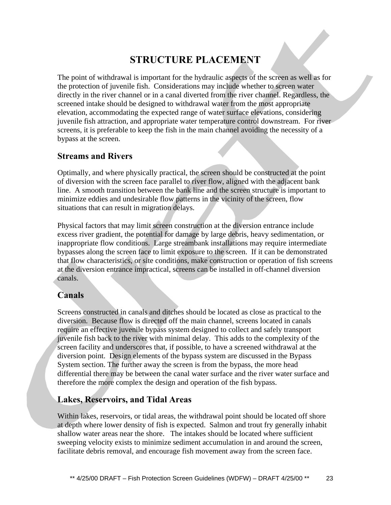## **STRUCTURE PLACEMENT**

The point of withdrawal is important for the hydraulic aspects of the screen as well as for the protection of juvenile fish. Considerations may include whether to screen water directly in the river channel or in a canal diverted from the river channel. Regardless, the screened intake should be designed to withdrawal water from the most appropriate elevation, accommodating the expected range of water surface elevations, considering juvenile fish attraction, and appropriate water temperature control downstream. For river screens, it is preferable to keep the fish in the main channel avoiding the necessity of a bypass at the screen.

### **Streams and Rivers**

Optimally, and where physically practical, the screen should be constructed at the point of diversion with the screen face parallel to river flow, aligned with the adjacent bank line. A smooth transition between the bank line and the screen structure is important to minimize eddies and undesirable flow patterns in the vicinity of the screen, flow situations that can result in migration delays.

Physical factors that may limit screen construction at the diversion entrance include excess river gradient, the potential for damage by large debris, heavy sedimentation, or inappropriate flow conditions. Large streambank installations may require intermediate bypasses along the screen face to limit exposure to the screen. If it can be demonstrated that flow characteristics, or site conditions, make construction or operation of fish screens at the diversion entrance impractical, screens can be installed in off-channel diversion canals.

### **Canals**

Screens constructed in canals and ditches should be located as close as practical to the diversion. Because flow is directed off the main channel, screens located in canals require an effective juvenile bypass system designed to collect and safely transport juvenile fish back to the river with minimal delay. This adds to the complexity of the screen facility and underscores that, if possible, to have a screened withdrawal at the diversion point. Design elements of the bypass system are discussed in the Bypass System section. The further away the screen is from the bypass, the more head differential there may be between the canal water surface and the river water surface and therefore the more complex the design and operation of the fish bypass.

### **Lakes, Reservoirs, and Tidal Areas**

Within lakes, reservoirs, or tidal areas, the withdrawal point should be located off shore at depth where lower density of fish is expected. Salmon and trout fry generally inhabit shallow water areas near the shore. The intakes should be located where sufficient sweeping velocity exists to minimize sediment accumulation in and around the screen, facilitate debris removal, and encourage fish movement away from the screen face.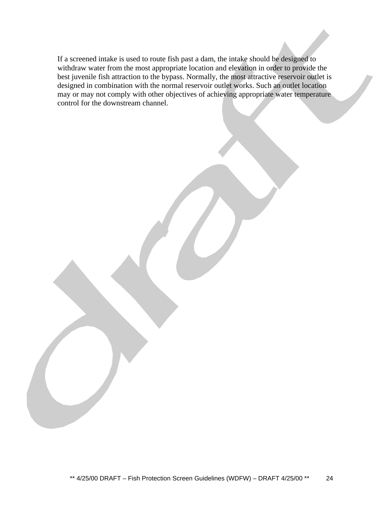If a screened intake is used to route fish past a dam, the intake should be designed to withdraw water from the most appropriate location and elevation in order to provide the best juvenile fish attraction to the bypass. Normally, the most attractive reservoir outlet is designed in combination with the normal reservoir outlet works. Such an outlet location may or may not comply with other objectives of achieving appropriate water temperature control for the downstream channel.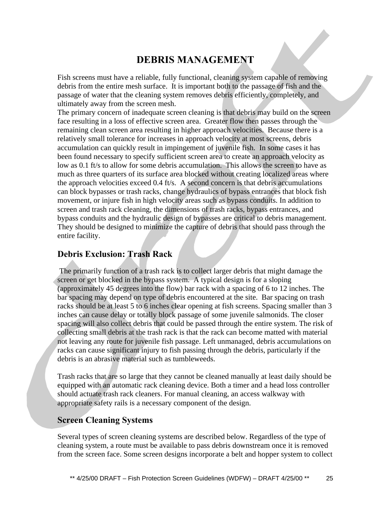## **DEBRIS MANAGEMENT**

Fish screens must have a reliable, fully functional, cleaning system capable of removing debris from the entire mesh surface. It is important both to the passage of fish and the passage of water that the cleaning system removes debris efficiently, completely, and ultimately away from the screen mesh.

The primary concern of inadequate screen cleaning is that debris may build on the screen face resulting in a loss of effective screen area. Greater flow then passes through the remaining clean screen area resulting in higher approach velocities. Because there is a relatively small tolerance for increases in approach velocity at most screens, debris accumulation can quickly result in impingement of juvenile fish. In some cases it has been found necessary to specify sufficient screen area to create an approach velocity as low as 0.1 ft/s to allow for some debris accumulation. This allows the screen to have as much as three quarters of its surface area blocked without creating localized areas where the approach velocities exceed 0.4 ft/s. A second concern is that debris accumulations can block bypasses or trash racks, change hydraulics of bypass entrances that block fish movement, or injure fish in high velocity areas such as bypass conduits. In addition to screen and trash rack cleaning, the dimensions of trash racks, bypass entrances, and bypass conduits and the hydraulic design of bypasses are critical to debris management. They should be designed to minimize the capture of debris that should pass through the entire facility.

### **Debris Exclusion: Trash Rack**

 The primarily function of a trash rack is to collect larger debris that might damage the screen or get blocked in the bypass system. A typical design is for a sloping (approximately 45 degrees into the flow) bar rack with a spacing of 6 to 12 inches. The bar spacing may depend on type of debris encountered at the site. Bar spacing on trash racks should be at least 5 to 6 inches clear opening at fish screens. Spacing smaller than 3 inches can cause delay or totally block passage of some juvenile salmonids. The closer spacing will also collect debris that could be passed through the entire system. The risk of collecting small debris at the trash rack is that the rack can become matted with material not leaving any route for juvenile fish passage. Left unmanaged, debris accumulations on racks can cause significant injury to fish passing through the debris, particularly if the debris is an abrasive material such as tumbleweeds.

Trash racks that are so large that they cannot be cleaned manually at least daily should be equipped with an automatic rack cleaning device. Both a timer and a head loss controller should actuate trash rack cleaners. For manual cleaning, an access walkway with appropriate safety rails is a necessary component of the design.

### **Screen Cleaning Systems**

Several types of screen cleaning systems are described below. Regardless of the type of cleaning system, a route must be available to pass debris downstream once it is removed from the screen face. Some screen designs incorporate a belt and hopper system to collect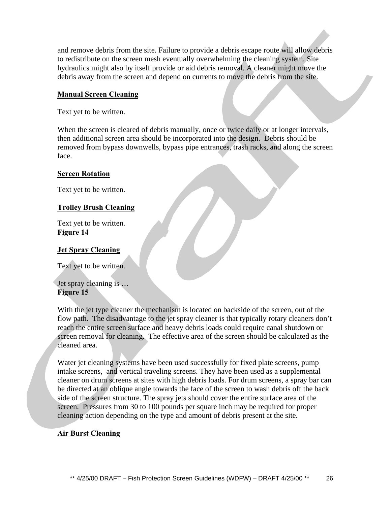and remove debris from the site. Failure to provide a debris escape route will allow debris to redistribute on the screen mesh eventually overwhelming the cleaning system. Site hydraulics might also by itself provide or aid debris removal. A cleaner might move the debris away from the screen and depend on currents to move the debris from the site.

### **Manual Screen Cleaning**

Text yet to be written.

When the screen is cleared of debris manually, once or twice daily or at longer intervals, then additional screen area should be incorporated into the design. Debris should be removed from bypass downwells, bypass pipe entrances, trash racks, and along the screen face.

### **Screen Rotation**

Text yet to be written.

### **Trolley Brush Cleaning**

Text yet to be written. **Figure 14**

#### **Jet Spray Cleaning**

Text yet to be written.

Jet spray cleaning is … **Figure 15**

With the jet type cleaner the mechanism is located on backside of the screen, out of the flow path. The disadvantage to the jet spray cleaner is that typically rotary cleaners don't reach the entire screen surface and heavy debris loads could require canal shutdown or screen removal for cleaning. The effective area of the screen should be calculated as the cleaned area.

Water jet cleaning systems have been used successfully for fixed plate screens, pump intake screens, and vertical traveling screens. They have been used as a supplemental cleaner on drum screens at sites with high debris loads. For drum screens, a spray bar can be directed at an oblique angle towards the face of the screen to wash debris off the back side of the screen structure. The spray jets should cover the entire surface area of the screen. Pressures from 30 to 100 pounds per square inch may be required for proper cleaning action depending on the type and amount of debris present at the site.

### **Air Burst Cleaning**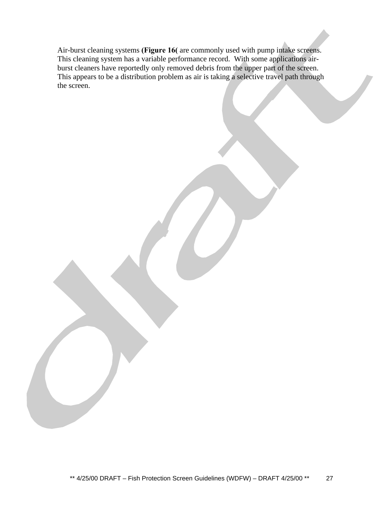Air-burst cleaning systems **(Figure 16(** are commonly used with pump intake screens. This cleaning system has a variable performance record. With some applications airburst cleaners have reportedly only removed debris from the upper part of the screen. This appears to be a distribution problem as air is taking a selective travel path through the screen.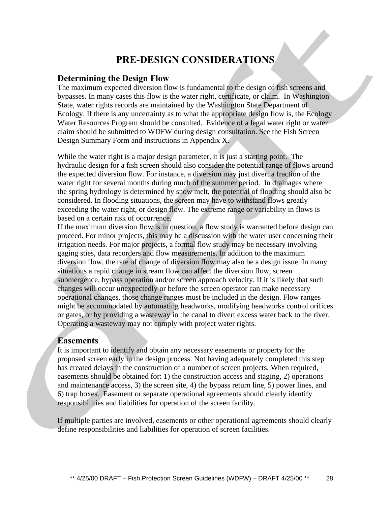## **PRE-DESIGN CONSIDERATIONS**

### **Determining the Design Flow**

The maximum expected diversion flow is fundamental to the design of fish screens and bypasses. In many cases this flow is the water right, certificate, or claim. In Washington State, water rights records are maintained by the Washington State Department of Ecology. If there is any uncertainty as to what the appropriate design flow is, the Ecology Water Resources Program should be consulted. Evidence of a legal water right or water claim should be submitted to WDFW during design consultation. See the Fish Screen Design Summary Form and instructions in Appendix X.

While the water right is a major design parameter, it is just a starting point. The hydraulic design for a fish screen should also consider the potential range of flows around the expected diversion flow. For instance, a diversion may just divert a fraction of the water right for several months during much of the summer period. In drainages where the spring hydrology is determined by snow melt, the potential of flooding should also be considered. In flooding situations, the screen may have to withstand flows greatly exceeding the water right, or design flow. The extreme range or variability in flows is based on a certain risk of occurrence.

If the maximum diversion flow is in question, a flow study is warranted before design can proceed. For minor projects, this may be a discussion with the water user concerning their irrigation needs. For major projects, a formal flow study may be necessary involving gaging sties, data recorders and flow measurements. In addition to the maximum diversion flow, the rate of change of diversion flow may also be a design issue. In many situations a rapid change in stream flow can affect the diversion flow, screen submergence, bypass operation and/or screen approach velocity. If it is likely that such changes will occur unexpectedly or before the screen operator can make necessary operational changes, those change ranges must be included in the design. Flow ranges might be accommodated by automating headworks, modifying headworks control orifices or gates, or by providing a wasteway in the canal to divert excess water back to the river. Operating a wasteway may not comply with project water rights.

### **Easements**

It is important to identify and obtain any necessary easements or property for the proposed screen early in the design process. Not having adequately completed this step has created delays in the construction of a number of screen projects. When required, easements should be obtained for: 1) the construction access and staging, 2) operations and maintenance access, 3) the screen site, 4) the bypass return line, 5) power lines, and 6) trap boxes. Easement or separate operational agreements should clearly identify responsibilities and liabilities for operation of the screen facility.

If multiple parties are involved, easements or other operational agreements should clearly define responsibilities and liabilities for operation of screen facilities.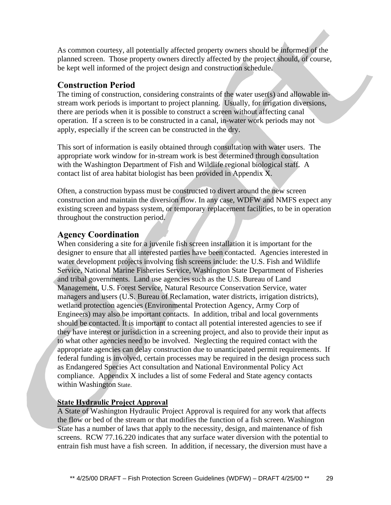As common courtesy, all potentially affected property owners should be informed of the planned screen. Those property owners directly affected by the project should, of course, be kept well informed of the project design and construction schedule.

### **Construction Period**

The timing of construction, considering constraints of the water user(s) and allowable instream work periods is important to project planning. Usually, for irrigation diversions, there are periods when it is possible to construct a screen without affecting canal operation. If a screen is to be constructed in a canal, in-water work periods may not apply, especially if the screen can be constructed in the dry.

This sort of information is easily obtained through consultation with water users. The appropriate work window for in-stream work is best determined through consultation with the Washington Department of Fish and Wildlife regional biological staff. A contact list of area habitat biologist has been provided in Appendix X.

Often, a construction bypass must be constructed to divert around the new screen construction and maintain the diversion flow. In any case, WDFW and NMFS expect any existing screen and bypass system, or temporary replacement facilities, to be in operation throughout the construction period.

### **Agency Coordination**

When considering a site for a juvenile fish screen installation it is important for the designer to ensure that all interested parties have been contacted. Agencies interested in water development projects involving fish screens include: the U.S. Fish and Wildlife Service, National Marine Fisheries Service, Washington State Department of Fisheries and tribal governments. Land use agencies such as the U.S. Bureau of Land Management, U.S. Forest Service, Natural Resource Conservation Service, water managers and users (U.S. Bureau of Reclamation, water districts, irrigation districts), wetland protection agencies (Environmental Protection Agency, Army Corp of Engineers) may also be important contacts. In addition, tribal and local governments should be contacted. It is important to contact all potential interested agencies to see if they have interest or jurisdiction in a screening project, and also to provide their input as to what other agencies need to be involved. Neglecting the required contact with the appropriate agencies can delay construction due to unanticipated permit requirements. If federal funding is involved, certain processes may be required in the design process such as Endangered Species Act consultation and National Environmental Policy Act compliance. Appendix X includes a list of some Federal and State agency contacts within Washington State.

### **State Hydraulic Project Approval**

A State of Washington Hydraulic Project Approval is required for any work that affects the flow or bed of the stream or that modifies the function of a fish screen. Washington State has a number of laws that apply to the necessity, design, and maintenance of fish screens. RCW 77.16.220 indicates that any surface water diversion with the potential to entrain fish must have a fish screen. In addition, if necessary, the diversion must have a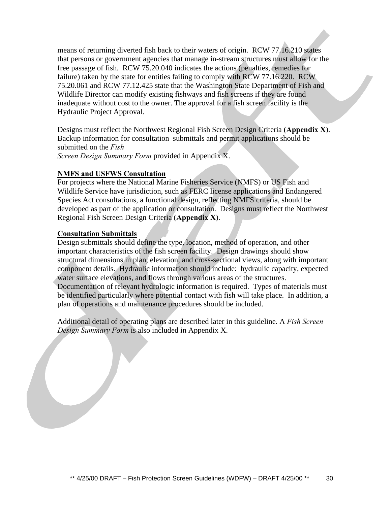means of returning diverted fish back to their waters of origin. RCW 77.16.210 states that persons or government agencies that manage in-stream structures must allow for the free passage of fish. RCW 75.20.040 indicates the actions (penalties, remedies for failure) taken by the state for entities failing to comply with RCW 77.16.220. RCW 75.20.061 and RCW 77.12.425 state that the Washington State Department of Fish and Wildlife Director can modify existing fishways and fish screens if they are found inadequate without cost to the owner. The approval for a fish screen facility is the Hydraulic Project Approval.

Designs must reflect the Northwest Regional Fish Screen Design Criteria (**Appendix X**). Backup information for consultation submittals and permit applications should be submitted on the *Fish Screen Design Summary Form* provided in Appendix X.

### **NMFS and USFWS Consultation**

For projects where the National Marine Fisheries Service (NMFS) or US Fish and Wildlife Service have jurisdiction, such as FERC license applications and Endangered Species Act consultations, a functional design, reflecting NMFS criteria, should be developed as part of the application or consultation. Designs must reflect the Northwest Regional Fish Screen Design Criteria (**Appendix X**).

### **Consultation Submittals**

Design submittals should define the type, location, method of operation, and other important characteristics of the fish screen facility. Design drawings should show structural dimensions in plan, elevation, and cross-sectional views, along with important component details. Hydraulic information should include: hydraulic capacity, expected water surface elevations, and flows through various areas of the structures. Documentation of relevant hydrologic information is required. Types of materials must be identified particularly where potential contact with fish will take place. In addition, a plan of operations and maintenance procedures should be included.

Additional detail of operating plans are described later in this guideline. A *Fish Screen Design Summary Form* is also included in Appendix X.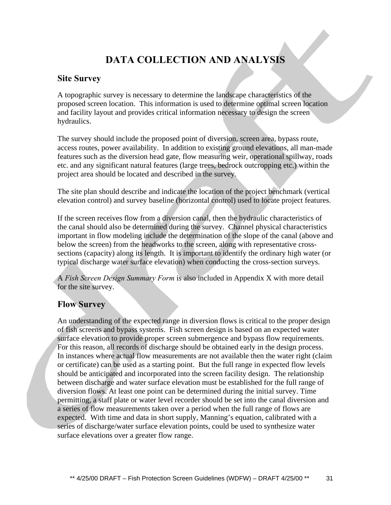## **DATA COLLECTION AND ANALYSIS**

### **Site Survey**

A topographic survey is necessary to determine the landscape characteristics of the proposed screen location. This information is used to determine optimal screen location and facility layout and provides critical information necessary to design the screen hydraulics.

The survey should include the proposed point of diversion, screen area, bypass route, access routes, power availability. In addition to existing ground elevations, all man-made features such as the diversion head gate, flow measuring weir, operational spillway, roads etc. and any significant natural features (large trees, bedrock outcropping etc.) within the project area should be located and described in the survey.

The site plan should describe and indicate the location of the project benchmark (vertical elevation control) and survey baseline (horizontal control) used to locate project features.

If the screen receives flow from a diversion canal, then the hydraulic characteristics of the canal should also be determined during the survey. Channel physical characteristics important in flow modeling include the determination of the slope of the canal (above and below the screen) from the headworks to the screen, along with representative crosssections (capacity) along its length. It is important to identify the ordinary high water (or typical discharge water surface elevation) when conducting the cross-section surveys.

A *Fish Screen Design Summary Form* is also included in Appendix X with more detail for the site survey.

### **Flow Survey**

An understanding of the expected range in diversion flows is critical to the proper design of fish screens and bypass systems. Fish screen design is based on an expected water surface elevation to provide proper screen submergence and bypass flow requirements. For this reason, all records of discharge should be obtained early in the design process. In instances where actual flow measurements are not available then the water right (claim or certificate) can be used as a starting point. But the full range in expected flow levels should be anticipated and incorporated into the screen facility design. The relationship between discharge and water surface elevation must be established for the full range of diversion flows. At least one point can be determined during the initial survey. Time permitting, a staff plate or water level recorder should be set into the canal diversion and a series of flow measurements taken over a period when the full range of flows are expected. With time and data in short supply, Manning's equation, calibrated with a series of discharge/water surface elevation points, could be used to synthesize water surface elevations over a greater flow range.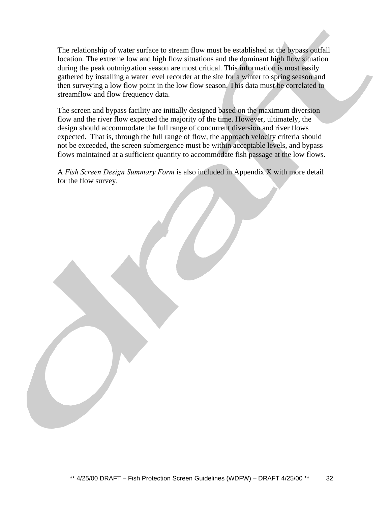The relationship of water surface to stream flow must be established at the bypass outfall location. The extreme low and high flow situations and the dominant high flow situation during the peak outmigration season are most critical. This information is most easily gathered by installing a water level recorder at the site for a winter to spring season and then surveying a low flow point in the low flow season. This data must be correlated to streamflow and flow frequency data.

The screen and bypass facility are initially designed based on the maximum diversion flow and the river flow expected the majority of the time. However, ultimately, the design should accommodate the full range of concurrent diversion and river flows expected. That is, through the full range of flow, the approach velocity criteria should not be exceeded, the screen submergence must be within acceptable levels, and bypass flows maintained at a sufficient quantity to accommodate fish passage at the low flows.

A *Fish Screen Design Summary Form* is also included in Appendix X with more detail for the flow survey.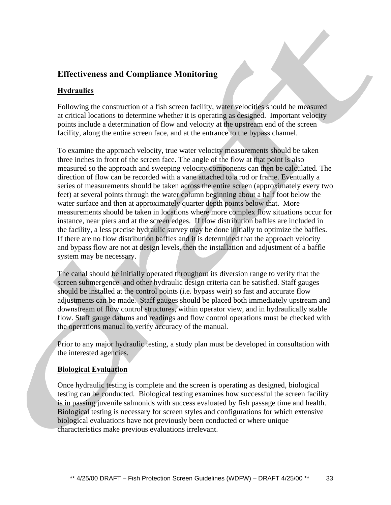### **Effectiveness and Compliance Monitoring**

### **Hydraulics**

Following the construction of a fish screen facility, water velocities should be measured at critical locations to determine whether it is operating as designed. Important velocity points include a determination of flow and velocity at the upstream end of the screen facility, along the entire screen face, and at the entrance to the bypass channel.

To examine the approach velocity, true water velocity measurements should be taken three inches in front of the screen face. The angle of the flow at that point is also measured so the approach and sweeping velocity components can then be calculated. The direction of flow can be recorded with a vane attached to a rod or frame. Eventually a series of measurements should be taken across the entire screen (approximately every two feet) at several points through the water column beginning about a half foot below the water surface and then at approximately quarter depth points below that. More measurements should be taken in locations where more complex flow situations occur for instance, near piers and at the screen edges. If flow distribution baffles are included in the facility, a less precise hydraulic survey may be done initially to optimize the baffles. If there are no flow distribution baffles and it is determined that the approach velocity and bypass flow are not at design levels, then the installation and adjustment of a baffle system may be necessary.

The canal should be initially operated throughout its diversion range to verify that the screen submergence and other hydraulic design criteria can be satisfied. Staff gauges should be installed at the control points (i.e. bypass weir) so fast and accurate flow adjustments can be made. Staff gauges should be placed both immediately upstream and downstream of flow control structures, within operator view, and in hydraulically stable flow. Staff gauge datums and readings and flow control operations must be checked with the operations manual to verify accuracy of the manual.

Prior to any major hydraulic testing, a study plan must be developed in consultation with the interested agencies.

#### **Biological Evaluation**

Once hydraulic testing is complete and the screen is operating as designed, biological testing can be conducted. Biological testing examines how successful the screen facility is in passing juvenile salmonids with success evaluated by fish passage time and health. Biological testing is necessary for screen styles and configurations for which extensive biological evaluations have not previously been conducted or where unique characteristics make previous evaluations irrelevant.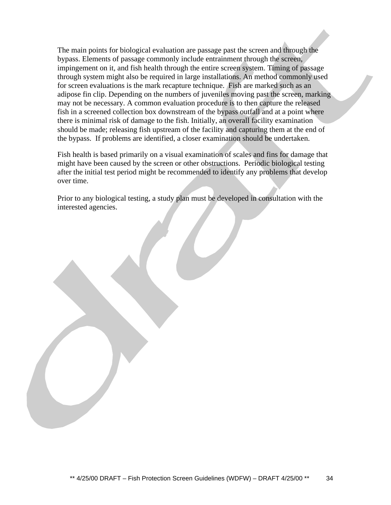The main points for biological evaluation are passage past the screen and through the bypass. Elements of passage commonly include entrainment through the screen, impingement on it, and fish health through the entire screen system. Timing of passage through system might also be required in large installations. An method commonly used for screen evaluations is the mark recapture technique. Fish are marked such as an adipose fin clip. Depending on the numbers of juveniles moving past the screen, marking may not be necessary. A common evaluation procedure is to then capture the released fish in a screened collection box downstream of the bypass outfall and at a point where there is minimal risk of damage to the fish. Initially, an overall facility examination should be made; releasing fish upstream of the facility and capturing them at the end of the bypass. If problems are identified, a closer examination should be undertaken.

Fish health is based primarily on a visual examination of scales and fins for damage that might have been caused by the screen or other obstructions. Periodic biological testing after the initial test period might be recommended to identify any problems that develop over time.

Prior to any biological testing, a study plan must be developed in consultation with the interested agencies.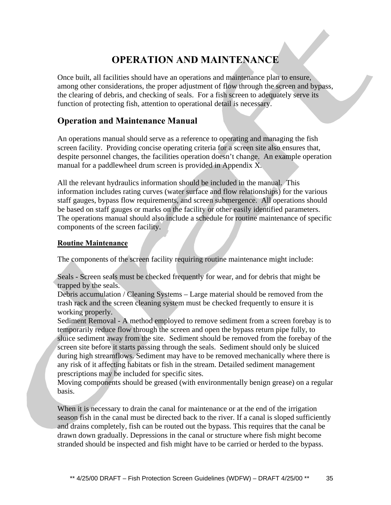## **OPERATION AND MAINTENANCE**

Once built, all facilities should have an operations and maintenance plan to ensure, among other considerations, the proper adjustment of flow through the screen and bypass, the clearing of debris, and checking of seals. For a fish screen to adequately serve its function of protecting fish, attention to operational detail is necessary.

### **Operation and Maintenance Manual**

An operations manual should serve as a reference to operating and managing the fish screen facility. Providing concise operating criteria for a screen site also ensures that, despite personnel changes, the facilities operation doesn't change. An example operation manual for a paddlewheel drum screen is provided in Appendix X.

All the relevant hydraulics information should be included in the manual. This information includes rating curves (water surface and flow relationships) for the various staff gauges, bypass flow requirements, and screen submergence. All operations should be based on staff gauges or marks on the facility or other easily identified parameters. The operations manual should also include a schedule for routine maintenance of specific components of the screen facility.

### **Routine Maintenance**

The components of the screen facility requiring routine maintenance might include:

Seals - Screen seals must be checked frequently for wear, and for debris that might be trapped by the seals.

Debris accumulation / Cleaning Systems – Large material should be removed from the trash rack and the screen cleaning system must be checked frequently to ensure it is working properly.

Sediment Removal - A method employed to remove sediment from a screen forebay is to temporarily reduce flow through the screen and open the bypass return pipe fully, to sluice sediment away from the site. Sediment should be removed from the forebay of the screen site before it starts passing through the seals. Sediment should only be sluiced during high streamflows. Sediment may have to be removed mechanically where there is any risk of it affecting habitats or fish in the stream. Detailed sediment management prescriptions may be included for specific sites.

Moving components should be greased (with environmentally benign grease) on a regular basis.

When it is necessary to drain the canal for maintenance or at the end of the irrigation season fish in the canal must be directed back to the river. If a canal is sloped sufficiently and drains completely, fish can be routed out the bypass. This requires that the canal be drawn down gradually. Depressions in the canal or structure where fish might become stranded should be inspected and fish might have to be carried or herded to the bypass.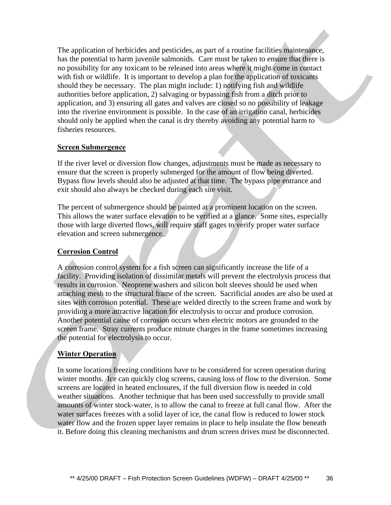The application of herbicides and pesticides, as part of a routine facilities maintenance, has the potential to harm juvenile salmonids. Care must be taken to ensure that there is no possibility for any toxicant to be released into areas where it might come in contact with fish or wildlife. It is important to develop a plan for the application of toxicants should they be necessary. The plan might include: 1) notifying fish and wildlife authorities before application, 2) salvaging or bypassing fish from a ditch prior to application, and 3) ensuring all gates and valves are closed so no possibility of leakage into the riverine environment is possible. In the case of an irrigation canal, herbicides should only be applied when the canal is dry thereby avoiding any potential harm to fisheries resources.

### **Screen Submergence**

If the river level or diversion flow changes, adjustments must be made as necessary to ensure that the screen is properly submerged for the amount of flow being diverted. Bypass flow levels should also be adjusted at that time. The bypass pipe entrance and exit should also always be checked during each site visit.

The percent of submergence should be painted at a prominent location on the screen. This allows the water surface elevation to be verified at a glance. Some sites, especially those with large diverted flows, will require staff gages to verify proper water surface elevation and screen submergence.

### **Corrosion Control**

A corrosion control system for a fish screen can significantly increase the life of a facility. Providing isolation of dissimilar metals will prevent the electrolysis process that results in corrosion. Neoprene washers and silicon bolt sleeves should be used when attaching mesh to the structural frame of the screen. Sacrificial anodes are also be used at sites with corrosion potential. These are welded directly to the screen frame and work by providing a more attractive location for electrolysis to occur and produce corrosion. Another potential cause of corrosion occurs when electric motors are grounded to the screen frame. Stray currents produce minute charges in the frame sometimes increasing the potential for electrolysis to occur.

### **Winter Operation**

In some locations freezing conditions have to be considered for screen operation during winter months. Ice can quickly clog screens, causing loss of flow to the diversion. Some screens are located in heated enclosures, if the full diversion flow is needed in cold weather situations. Another technique that has been used successfully to provide small amounts of winter stock-water, is to allow the canal to freeze at full canal flow. After the water surfaces freezes with a solid layer of ice, the canal flow is reduced to lower stock water flow and the frozen upper layer remains in place to help insulate the flow beneath it. Before doing this cleaning mechanisms and drum screen drives must be disconnected.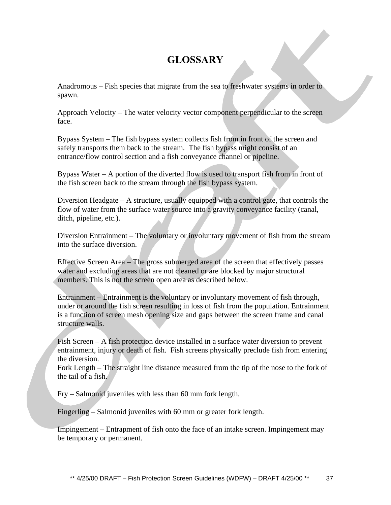## **GLOSSARY**

Anadromous – Fish species that migrate from the sea to freshwater systems in order to spawn.

Approach Velocity – The water velocity vector component perpendicular to the screen face.

Bypass System – The fish bypass system collects fish from in front of the screen and safely transports them back to the stream. The fish bypass might consist of an entrance/flow control section and a fish conveyance channel or pipeline.

Bypass Water – A portion of the diverted flow is used to transport fish from in front of the fish screen back to the stream through the fish bypass system.

Diversion Headgate – A structure, usually equipped with a control gate, that controls the flow of water from the surface water source into a gravity conveyance facility (canal, ditch, pipeline, etc.).

Diversion Entrainment – The voluntary or involuntary movement of fish from the stream into the surface diversion.

Effective Screen Area – The gross submerged area of the screen that effectively passes water and excluding areas that are not cleaned or are blocked by major structural members. This is not the screen open area as described below.

Entrainment – Entrainment is the voluntary or involuntary movement of fish through, under or around the fish screen resulting in loss of fish from the population. Entrainment is a function of screen mesh opening size and gaps between the screen frame and canal structure walls.

Fish Screen – A fish protection device installed in a surface water diversion to prevent entrainment, injury or death of fish. Fish screens physically preclude fish from entering the diversion.

Fork Length – The straight line distance measured from the tip of the nose to the fork of the tail of a fish.

Fry – Salmonid juveniles with less than 60 mm fork length.

Fingerling – Salmonid juveniles with 60 mm or greater fork length.

Impingement – Entrapment of fish onto the face of an intake screen. Impingement may be temporary or permanent.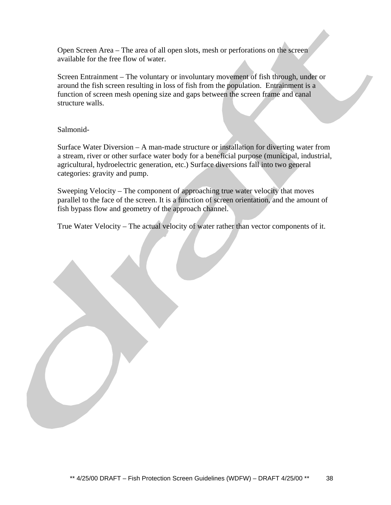Open Screen Area – The area of all open slots, mesh or perforations on the screen available for the free flow of water.

Screen Entrainment – The voluntary or involuntary movement of fish through, under or around the fish screen resulting in loss of fish from the population. Entrainment is a function of screen mesh opening size and gaps between the screen frame and canal structure walls.

### Salmonid-

Surface Water Diversion – A man-made structure or installation for diverting water from a stream, river or other surface water body for a beneficial purpose (municipal, industrial, agricultural, hydroelectric generation, etc.) Surface diversions fall into two general categories: gravity and pump.

Sweeping Velocity – The component of approaching true water velocity that moves parallel to the face of the screen. It is a function of screen orientation, and the amount of fish bypass flow and geometry of the approach channel.

True Water Velocity – The actual velocity of water rather than vector components of it.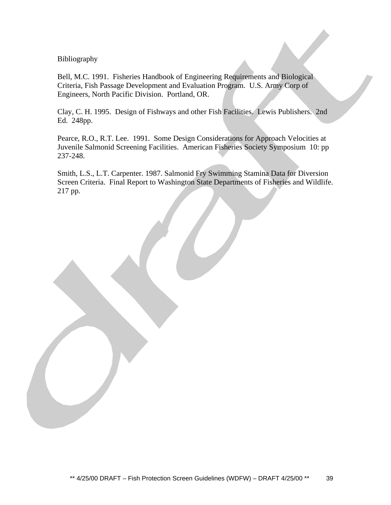#### Bibliography

Bell, M.C. 1991. Fisheries Handbook of Engineering Requirements and Biological Criteria, Fish Passage Development and Evaluation Program. U.S. Army Corp of Engineers, North Pacific Division. Portland, OR.

Clay, C. H. 1995. Design of Fishways and other Fish Facilities. Lewis Publishers. 2nd Ed. 248pp.

Pearce, R.O., R.T. Lee. 1991. Some Design Considerations for Approach Velocities at Juvenile Salmonid Screening Facilities. American Fisheries Society Symposium 10: pp 237-248.

Smith, L.S., L.T. Carpenter. 1987. Salmonid Fry Swimming Stamina Data for Diversion Screen Criteria. Final Report to Washington State Departments of Fisheries and Wildlife. 217 pp.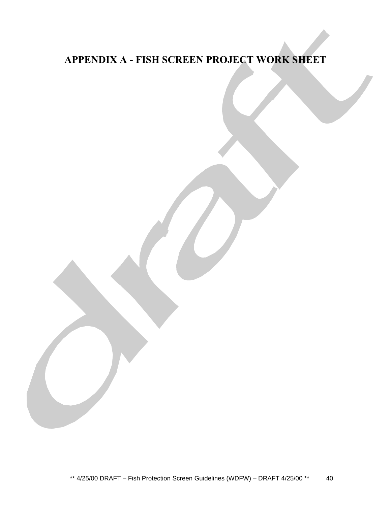## **APPENDIX A - FISH SCREEN PROJECT WORK SHEET**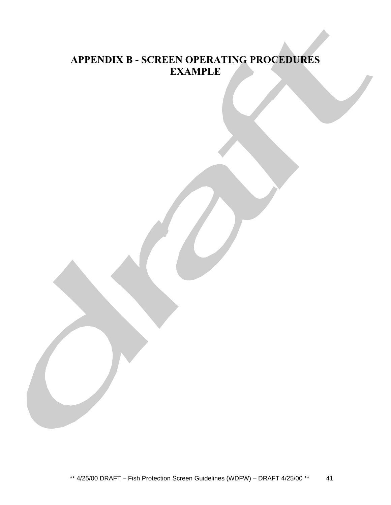## **APPENDIX B - SCREEN OPERATING PROCEDURES EXAMPLE**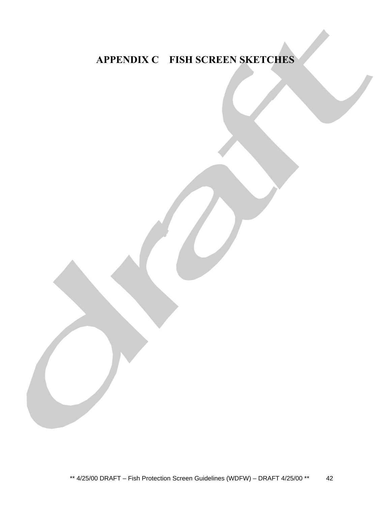## **APPENDIX C – FISH SCREEN SKETCHES**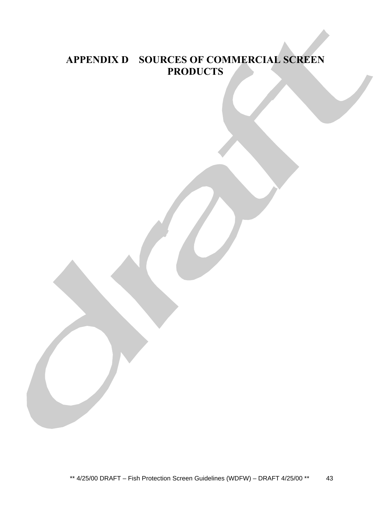## **APPENDIX D – SOURCES OF COMMERCIAL SCREEN PRODUCTS**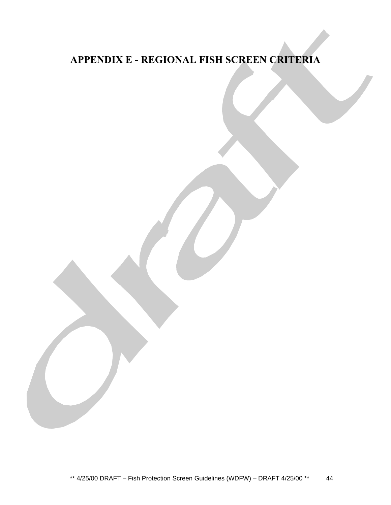## **APPENDIX E - REGIONAL FISH SCREEN CRITERIA**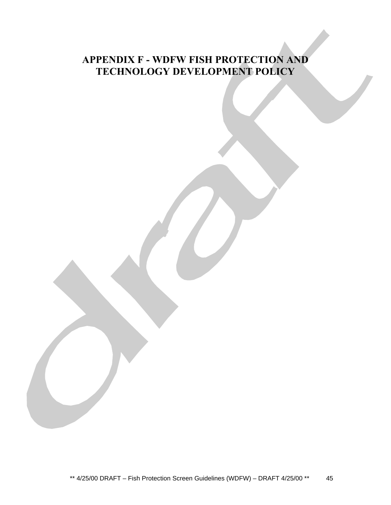## **APPENDIX F - WDFW FISH PROTECTION AND TECHNOLOGY DEVELOPMENT POLICY**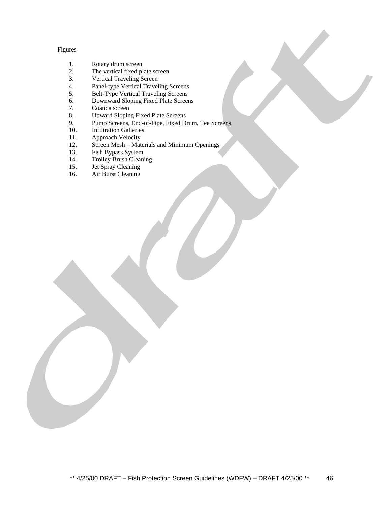#### Figures

- 1. Rotary drum screen<br>2. The vertical fixed pl
- 2. The vertical fixed plate screen<br>3. Vertical Traveling Screen
- Vertical Traveling Screen
- 4. Panel-type Vertical Traveling Screens<br>5. Belt-Type Vertical Traveling Screens
- 5. Belt-Type Vertical Traveling Screens
- 6. Downward Sloping Fixed Plate Screens
- 7. Coanda screen<br>8. Upward Sloping
- 8. Upward Sloping Fixed Plate Screens<br>9. Pump Screens, End-of-Pipe, Fixed Dr
- 9. Pump Screens, End-of-Pipe, Fixed Drum, Tee Screens<br>10. Infiltration Galleries
- 10. Infiltration Galleries<br>11. Approach Velocity
- Approach Velocity
- 12. Screen Mesh Materials and Minimum Openings<br>13. Fish Bypass System
- 13. Fish Bypass System<br>14. Trolley Brush Clean
- Trolley Brush Cleaning
- 15. Jet Spray Cleaning<br>16. Air Burst Cleaning
- Air Burst Cleaning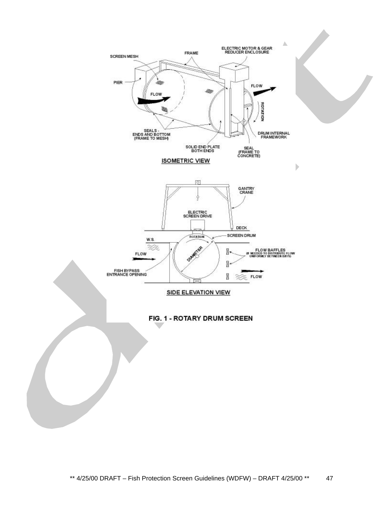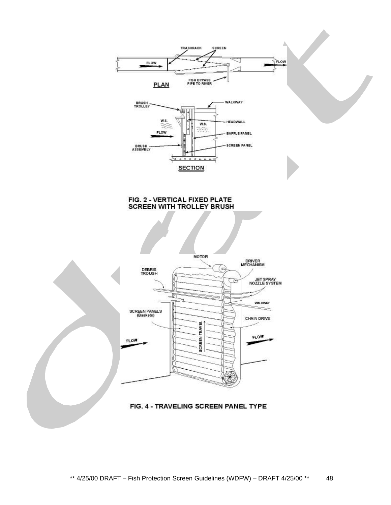



#### FIG. 2 - VERTICAL FIXED PLATE **SCREEN WITH TROLLEY BRUSH**

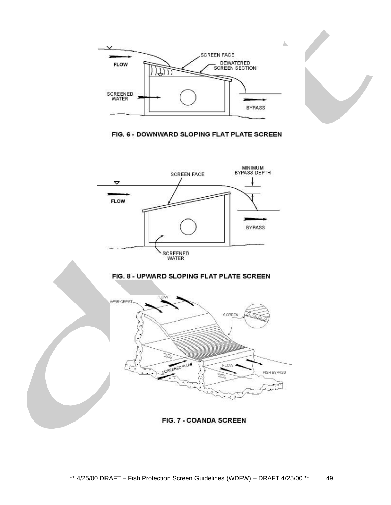



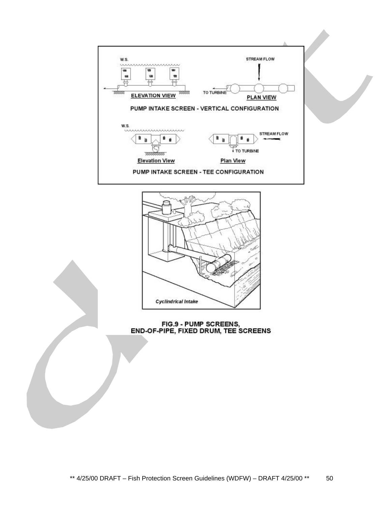



FIG.9 - PUMP SCREENS,<br>END-OF-PIPE, FIXED DRUM, TEE SCREENS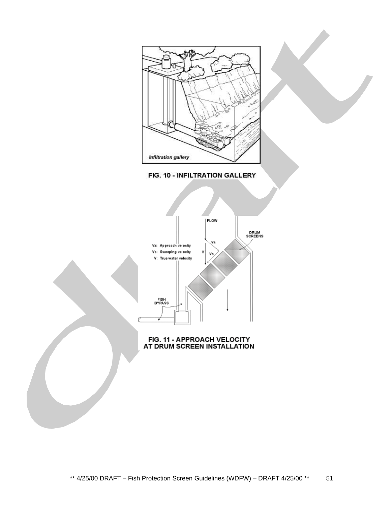



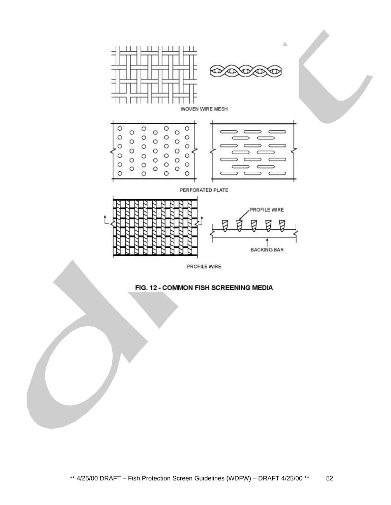